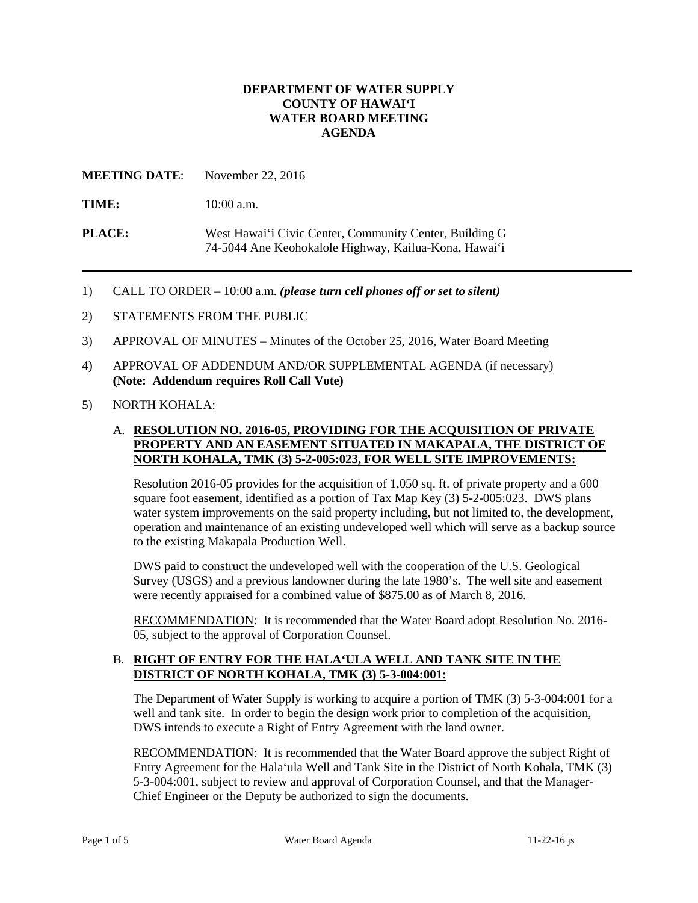### **DEPARTMENT OF WATER SUPPLY COUNTY OF HAWAI'I WATER BOARD MEETING AGENDA**

**MEETING DATE**: November 22, 2016

TIME:  $10:00$  a.m.

**PLACE:** West Hawai'i Civic Center, Community Center, Building G 74-5044 Ane Keohokalole Highway, Kailua-Kona, Hawai'i

- 1) CALL TO ORDER 10:00 a.m. *(please turn cell phones off or set to silent)*
- 2) STATEMENTS FROM THE PUBLIC
- 3) APPROVAL OF MINUTES Minutes of the October 25, 2016, Water Board Meeting
- 4) APPROVAL OF ADDENDUM AND/OR SUPPLEMENTAL AGENDA (if necessary) **(Note: Addendum requires Roll Call Vote)**
- 5) NORTH KOHALA:

# A. **RESOLUTION NO. 2016-05, PROVIDING FOR THE ACQUISITION OF PRIVATE PROPERTY AND AN EASEMENT SITUATED IN MAKAPALA, THE DISTRICT OF NORTH KOHALA, TMK (3) 5-2-005:023, FOR WELL SITE IMPROVEMENTS:**

 operation and maintenance of an existing undeveloped well which will serve as a backup source Resolution 2016-05 provides for the acquisition of 1,050 sq. ft. of private property and a 600 square foot easement, identified as a portion of Tax Map Key (3) 5-2-005:023. DWS plans water system improvements on the said property including, but not limited to, the development, to the existing Makapala Production Well.

 Survey (USGS) and a previous landowner during the late 1980's. The well site and easement DWS paid to construct the undeveloped well with the cooperation of the U.S. Geological were recently appraised for a combined value of \$875.00 as of March 8, 2016.

RECOMMENDATION: It is recommended that the Water Board adopt Resolution No. 2016-05, subject to the approval of Corporation Counsel.

### B. **RIGHT OF ENTRY FOR THE HALA'ULA WELL AND TANK SITE IN THE DISTRICT OF NORTH KOHALA, TMK (3) 5-3-004:001:**

 DWS intends to execute a Right of Entry Agreement with the land owner. The Department of Water Supply is working to acquire a portion of TMK (3) 5-3-004:001 for a well and tank site. In order to begin the design work prior to completion of the acquisition,

RECOMMENDATION: It is recommended that the Water Board approve the subject Right of Entry Agreement for the Hala'ula Well and Tank Site in the District of North Kohala, TMK (3) 5-3-004:001, subject to review and approval of Corporation Counsel, and that the Manager-Chief Engineer or the Deputy be authorized to sign the documents.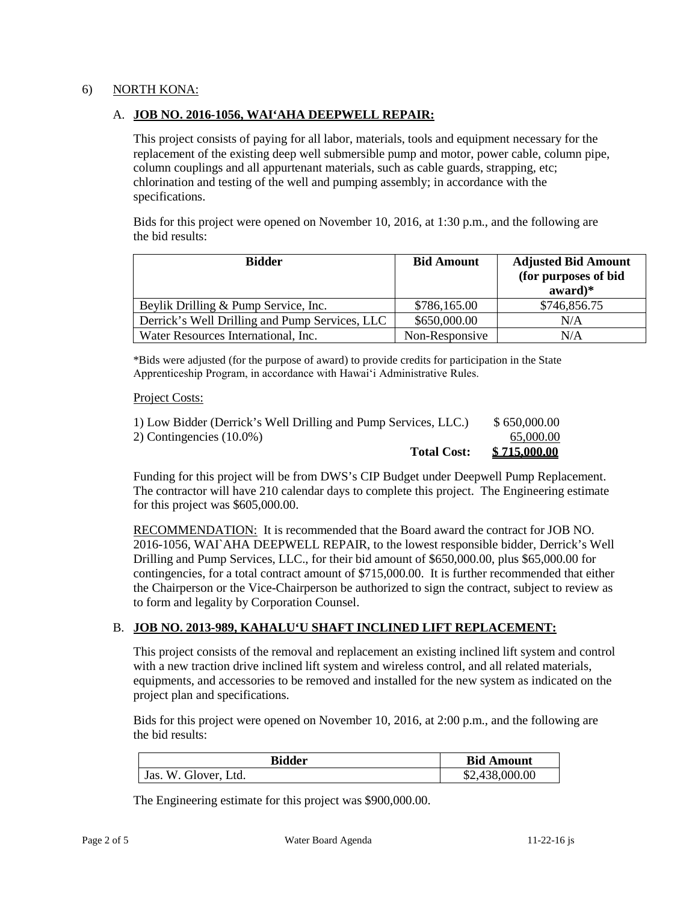### 6) NORTH KONA:

#### A. **JOB NO. 2016-1056, WAI'AHA DEEPWELL REPAIR:**

 replacement of the existing deep well submersible pump and motor, power cable, column pipe, This project consists of paying for all labor, materials, tools and equipment necessary for the column couplings and all appurtenant materials, such as cable guards, strapping, etc; chlorination and testing of the well and pumping assembly; in accordance with the specifications.

Bids for this project were opened on November 10, 2016, at 1:30 p.m., and the following are the bid results:

| <b>Bidder</b>                                  | <b>Bid Amount</b> | <b>Adjusted Bid Amount</b><br>(for purposes of bid<br>$award)*$ |
|------------------------------------------------|-------------------|-----------------------------------------------------------------|
| Beylik Drilling & Pump Service, Inc.           | \$786,165.00      | \$746,856.75                                                    |
| Derrick's Well Drilling and Pump Services, LLC | \$650,000.00      | N/A                                                             |
| Water Resources International, Inc.            | Non-Responsive    | N/A                                                             |

 Apprenticeship Program, in accordance with Hawaiʻi Administrative Rules. \*Bids were adjusted (for the purpose of award) to provide credits for participation in the State

#### Project Costs:

| 1) Low Bidder (Derrick's Well Drilling and Pump Services, LLC.) |                    | \$650,000.00 |
|-----------------------------------------------------------------|--------------------|--------------|
| 2) Contingencies $(10.0\%)$                                     |                    | 65,000.00    |
|                                                                 | <b>Total Cost:</b> | \$715,000.00 |

Funding for this project will be from DWS's CIP Budget under Deepwell Pump Replacement. The contractor will have 210 calendar days to complete this project. The Engineering estimate for this project was \$605,000.00.

RECOMMENDATION: It is recommended that the Board award the contract for JOB NO. Drilling and Pump Services, LLC., for their bid amount of \$650,000.00, plus \$65,000.00 for contingencies, for a total contract amount of \$715,000.00. It is further recommended that either 2016-1056, WAI`AHA DEEPWELL REPAIR, to the lowest responsible bidder, Derrick's Well the Chairperson or the Vice-Chairperson be authorized to sign the contract, subject to review as to form and legality by Corporation Counsel.

### B. **JOB NO. 2013-989, KAHALU'U SHAFT INCLINED LIFT REPLACEMENT:**

 with a new traction drive inclined lift system and wireless control, and all related materials, This project consists of the removal and replacement an existing inclined lift system and control equipments, and accessories to be removed and installed for the new system as indicated on the project plan and specifications.

Bids for this project were opened on November 10, 2016, at 2:00 p.m., and the following are the bid results:

| <b>Bidder</b>           | <b>Bid Amount</b> |
|-------------------------|-------------------|
| W. Glover, Ltd.<br>Jas. | \$2,438,000.00    |

The Engineering estimate for this project was \$900,000.00.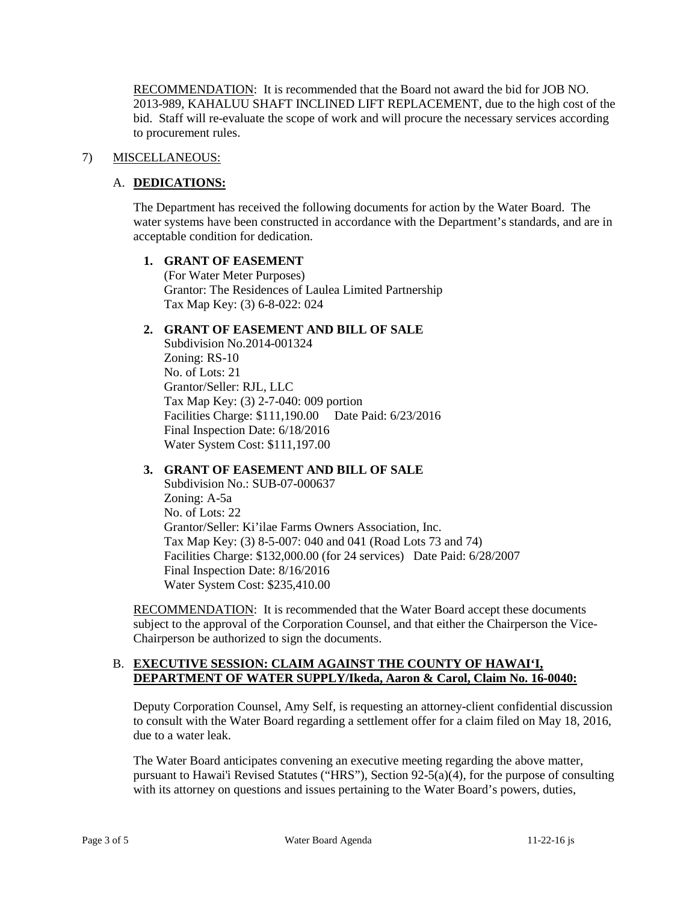RECOMMENDATION: It is recommended that the Board not award the bid for JOB NO. 2013-989, KAHALUU SHAFT INCLINED LIFT REPLACEMENT, due to the high cost of the bid. Staff will re-evaluate the scope of work and will procure the necessary services according to procurement rules.

### 7) MISCELLANEOUS:

# A. **DEDICATIONS:**

 water systems have been constructed in accordance with the Department's standards, and are in The Department has received the following documents for action by the Water Board. The acceptable condition for dedication.

### **1. GRANT OF EASEMENT**

(For Water Meter Purposes) Grantor: The Residences of Laulea Limited Partnership Tax Map Key: (3) 6-8-022: 024

### **2. GRANT OF EASEMENT AND BILL OF SALE**

 Facilities Charge: \$111,190.00 Date Paid: 6/23/2016 No. of Lots: 21 Final Inspection Date: 6/18/2016 Subdivision No.2014-001324 Zoning: RS-10 Grantor/Seller: RJL, LLC Tax Map Key: (3) 2-7-040: 009 portion Water System Cost: \$111,197.00

### **3. GRANT OF EASEMENT AND BILL OF SALE**

 No. of Lots: 22 Final Inspection Date: 8/16/2016 Subdivision No.: SUB-07-000637 Zoning: A-5a Grantor/Seller: Ki'ilae Farms Owners Association, Inc. Tax Map Key: (3) 8-5-007: 040 and 041 (Road Lots 73 and 74) Facilities Charge: \$132,000.00 (for 24 services) Date Paid: 6/28/2007 Water System Cost: \$235,410.00

RECOMMENDATION: It is recommended that the Water Board accept these documents subject to the approval of the Corporation Counsel, and that either the Chairperson the Vice-Chairperson be authorized to sign the documents.

### B. **EXECUTIVE SESSION: CLAIM AGAINST THE COUNTY OF HAWAI'I, DEPARTMENT OF WATER SUPPLY/Ikeda, Aaron & Carol, Claim No. 16-0040:**

 Deputy Corporation Counsel, Amy Self, is requesting an attorney-client confidential discussion to consult with the Water Board regarding a settlement offer for a claim filed on May 18, 2016, due to a water leak.

The Water Board anticipates convening an executive meeting regarding the above matter, pursuant to Hawai'i Revised Statutes ("HRS"), Section 92-5(a)(4), for the purpose of consulting with its attorney on questions and issues pertaining to the Water Board's powers, duties,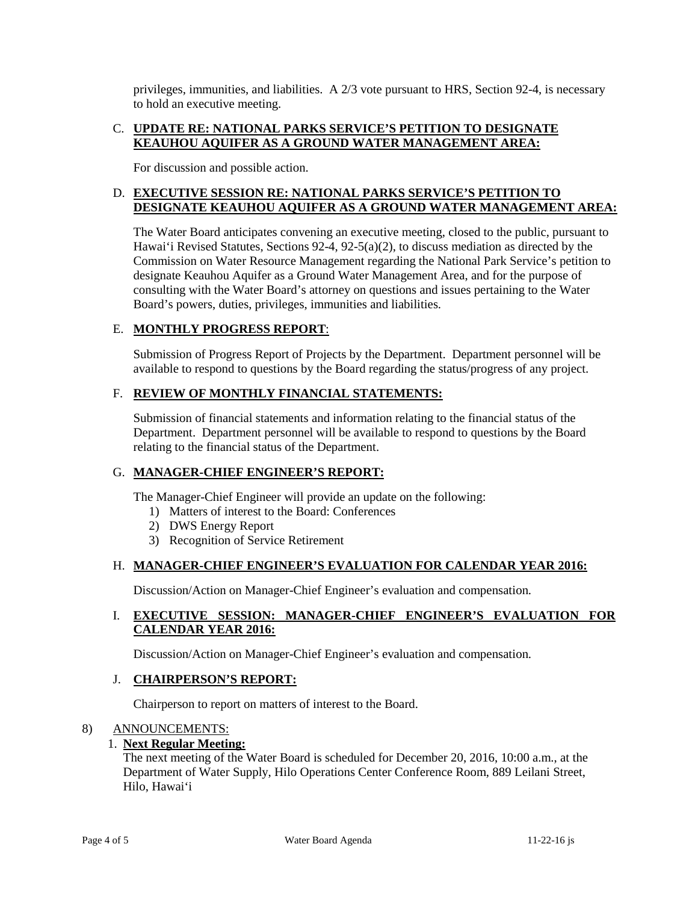privileges, immunities, and liabilities. A  $2/3$  vote pursuant to HRS, Section 92-4, is necessary to hold an executive meeting.

# C. **UPDATE RE: NATIONAL PARKS SERVICE'S PETITION TO DESIGNATE KEAUHOU AQUIFER AS A GROUND WATER MANAGEMENT AREA:**

For discussion and possible action.

# D. **EXECUTIVE SESSION RE: NATIONAL PARKS SERVICE'S PETITION TO DESIGNATE KEAUHOU AQUIFER AS A GROUND WATER MANAGEMENT AREA:**

 Hawai'i Revised Statutes, Sections 92-4, 92-5(a)(2), to discuss mediation as directed by the Commission on Water Resource Management regarding the National Park Service's petition to designate Keauhou Aquifer as a Ground Water Management Area, and for the purpose of consulting with the Water Board's attorney on questions and issues pertaining to the Water The Water Board anticipates convening an executive meeting, closed to the public, pursuant to Board's powers, duties, privileges, immunities and liabilities.

# E. **MONTHLY PROGRESS REPORT**:

Submission of Progress Report of Projects by the Department. Department personnel will be available to respond to questions by the Board regarding the status/progress of any project.

### F. **REVIEW OF MONTHLY FINANCIAL STATEMENTS:**

 Submission of financial statements and information relating to the financial status of the relating to the financial status of the Department. Department. Department personnel will be available to respond to questions by the Board

### G. **MANAGER-CHIEF ENGINEER'S REPORT:**

The Manager-Chief Engineer will provide an update on the following:

- 1) Matters of interest to the Board: Conferences
- 2) DWS Energy Report
- 3) Recognition of Service Retirement

### H. **MANAGER-CHIEF ENGINEER'S EVALUATION FOR CALENDAR YEAR 2016:**

Discussion/Action on Manager-Chief Engineer's evaluation and compensation.

# I. **EXECUTIVE SESSION: MANAGER-CHIEF ENGINEER'S EVALUATION FOR CALENDAR YEAR 2016:**

Discussion/Action on Manager-Chief Engineer's evaluation and compensation.

### J. **CHAIRPERSON'S REPORT:**

Chairperson to report on matters of interest to the Board.

### 8) ANNOUNCEMENTS:

### 1. **Next Regular Meeting:**

 The next meeting of the Water Board is scheduled for December 20, 2016, 10:00 a.m., at the Department of Water Supply, Hilo Operations Center Conference Room, 889 Leilani Street, Hilo, Hawai'i